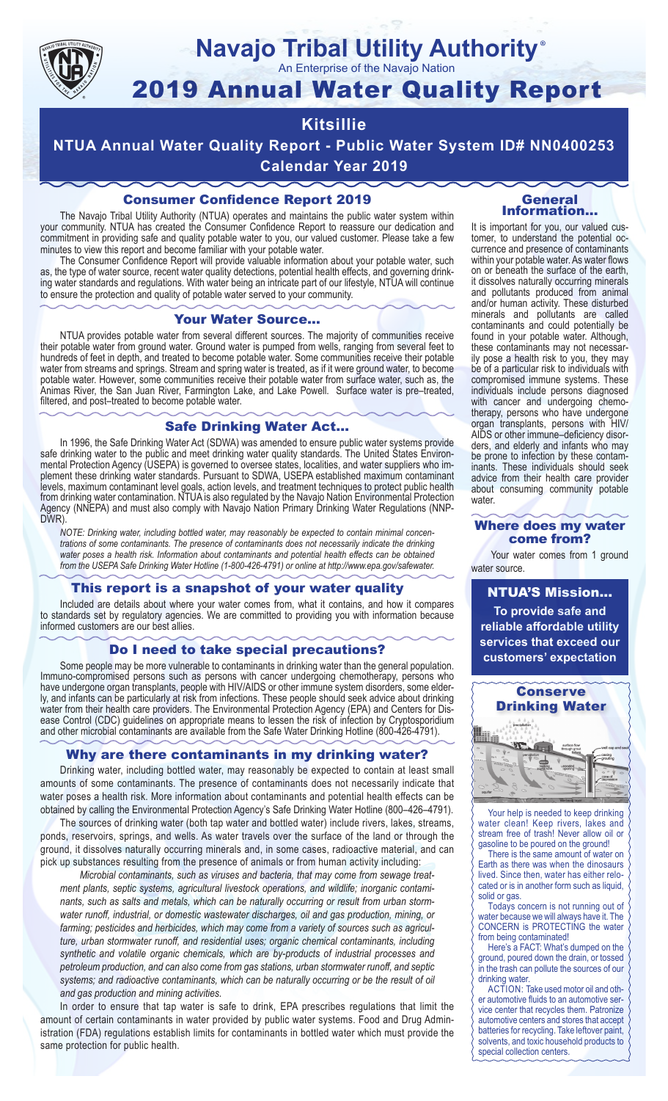

# **Navajo Tribal Utility Authority**

An Enterprise of the Navajo Nation

## 2019 Annual Water Quality Report

### **Kitsillie**

**NTUA Annual Water Quality Report - Public Water System ID# NN0400253 Calendar Year 2019**

#### Consumer Confidence Report 2019

The Navajo Tribal Utility Authority (NTUA) operates and maintains the public water system within your community. NTUA has created the Consumer Confidence Report to reassure our dedication and commitment in providing safe and quality potable water to you, our valued customer. Please take a few minutes to view this report and become familiar with your potable water.

The Consumer Confidence Report will provide valuable information about your potable water, such as, the type of water source, recent water quality detections, potential health effects, and governing drinking water standards and regulations. With water being an intricate part of our lifestyle, NTUA will continue to ensure the protection and quality of potable water served to your community.

#### Your Water Source…

NTUA provides potable water from several different sources. The majority of communities receive their potable water from ground water. Ground water is pumped from wells, ranging from several feet to hundreds of feet in depth, and treated to become potable water. Some communities receive their potable water from streams and springs. Stream and spring water is treated, as if it were ground water, to become potable water. However, some communities receive their potable water from surface water, such as, the Animas River, the San Juan River, Farmington Lake, and Lake Powell. Surface water is pre–treated, filtered, and post–treated to become potable water.

#### Safe Drinking Water Act…

In 1996, the Safe Drinking Water Act (SDWA) was amended to ensure public water systems provide safe drinking water to the public and meet drinking water quality standards. The United States Environmental Protection Agency (USEPA) is governed to oversee states, localities, and water suppliers who implement these drinking water standards. Pursuant to SDWA, USEPA established maximum contaminant levels, maximum contaminant level goals, action levels, and treatment techniques to protect public health from drinking water contamination. NTUA is also regulated by the Navajo Nation Environmental Protection Agency (NNEPA) and must also comply with Navajo Nation Primary Drinking Water Regulations (NNP-DWR)

*NOTE: Drinking water, including bottled water, may reasonably be expected to contain minimal concentrations of some contaminants. The presence of contaminants does not necessarily indicate the drinking water poses a health risk. Information about contaminants and potential health effects can be obtained from the USEPA Safe Drinking Water Hotline (1-800-426-4791) or online at http://www.epa.gov/safewater.*

#### This report is a snapshot of your water quality

Included are details about where your water comes from, what it contains, and how it compares to standards set by regulatory agencies. We are committed to providing you with information because informed customers are our best allies.

#### Do I need to take special precautions?

Some people may be more vulnerable to contaminants in drinking water than the general population. Immuno-compromised persons such as persons with cancer undergoing chemotherapy, persons who have undergone organ transplants, people with HIV/AIDS or other immune system disorders, some elderly, and infants can be particularly at risk from infections. These people should seek advice about drinking water from their health care providers. The Environmental Protection Agency (EPA) and Centers for Disease Control (CDC) guidelines on appropriate means to lessen the risk of infection by Cryptosporidium and other microbial contaminants are available from the Safe Water Drinking Hotline (800-426-4791).

#### Why are there contaminants in my drinking water?

Drinking water, including bottled water, may reasonably be expected to contain at least small amounts of some contaminants. The presence of contaminants does not necessarily indicate that water poses a health risk. More information about contaminants and potential health effects can be obtained by calling the Environmental Protection Agency's Safe Drinking Water Hotline (800–426–4791).

The sources of drinking water (both tap water and bottled water) include rivers, lakes, streams, ponds, reservoirs, springs, and wells. As water travels over the surface of the land or through the ground, it dissolves naturally occurring minerals and, in some cases, radioactive material, and can pick up substances resulting from the presence of animals or from human activity including:

*Microbial contaminants, such as viruses and bacteria, that may come from sewage treatment plants, septic systems, agricultural livestock operations, and wildlife; inorganic contaminants, such as salts and metals, which can be naturally occurring or result from urban stormwater runoff, industrial, or domestic wastewater discharges, oil and gas production, mining, or farming; pesticides and herbicides, which may come from a variety of sources such as agriculture, urban stormwater runoff, and residential uses; organic chemical contaminants, including synthetic and volatile organic chemicals, which are by-products of industrial processes and petroleum production, and can also come from gas stations, urban stormwater runoff, and septic systems; and radioactive contaminants, which can be naturally occurring or be the result of oil and gas production and mining activities.*

In order to ensure that tap water is safe to drink, EPA prescribes regulations that limit the amount of certain contaminants in water provided by public water systems. Food and Drug Administration (FDA) regulations establish limits for contaminants in bottled water which must provide the same protection for public health.

#### General Information…

®

It is important for you, our valued customer, to understand the potential occurrence and presence of contaminants within your potable water. As water flows on or beneath the surface of the earth, it dissolves naturally occurring minerals and pollutants produced from animal and/or human activity. These disturbed minerals and pollutants are called contaminants and could potentially be found in your potable water. Although, these contaminants may not necessarily pose a health risk to you, they may be of a particular risk to individuals with compromised immune systems. These individuals include persons diagnosed with cancer and undergoing chemo-<br>therapy, persons who have undergone organ transplants, persons with HIV/ AIDS or other immune–deficiency disor- ders, and elderly and infants who may be prone to infection by these contam- inants. These individuals should seek advice from their health care provider about consuming community potable water.

#### Where does my water come from?

Your water comes from 1 ground water source.

NTUA'S Mission... **To provide safe and reliable affordable utility services that exceed our customers' expectation**



Your help is needed to keep drinking water clean! Keep rivers, lakes and stream free of trash! Never allow oil or gasoline to be poured on the ground!

There is the same amount of water on Earth as there was when the dinosaurs lived. Since then, water has either relocated or is in another form such as liquid, solid or gas.

Todays concern is not running out of water because we will always have it. The CONCERN is PROTECTING the water from being contaminated!

Here's a FACT: What's dumped on the ground, poured down the drain, or tossed in the trash can pollute the sources of our drinking water.

ACTION: Take used motor oil and other automotive fluids to an automotive service center that recycles them. Patronize automotive centers and stores that accept batteries for recycling. Take leftover paint, solvents, and toxic household products to special collection centers.